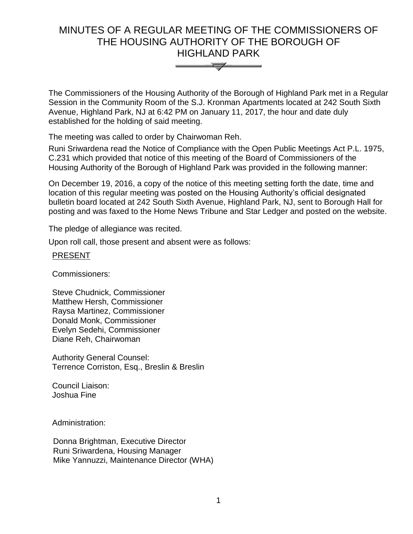# MINUTES OF A REGULAR MEETING OF THE COMMISSIONERS OF THE HOUSING AUTHORITY OF THE BOROUGH OF HIGHLAND PARK



The Commissioners of the Housing Authority of the Borough of Highland Park met in a Regular Session in the Community Room of the S.J. Kronman Apartments located at 242 South Sixth Avenue, Highland Park, NJ at 6:42 PM on January 11, 2017, the hour and date duly established for the holding of said meeting.

The meeting was called to order by Chairwoman Reh.

Runi Sriwardena read the Notice of Compliance with the Open Public Meetings Act P.L. 1975, C.231 which provided that notice of this meeting of the Board of Commissioners of the Housing Authority of the Borough of Highland Park was provided in the following manner:

On December 19, 2016, a copy of the notice of this meeting setting forth the date, time and location of this regular meeting was posted on the Housing Authority's official designated bulletin board located at 242 South Sixth Avenue, Highland Park, NJ, sent to Borough Hall for posting and was faxed to the Home News Tribune and Star Ledger and posted on the website.

The pledge of allegiance was recited.

Upon roll call, those present and absent were as follows:

#### PRESENT

Commissioners:

Steve Chudnick, Commissioner Matthew Hersh, Commissioner Raysa Martinez, Commissioner Donald Monk, Commissioner Evelyn Sedehi, Commissioner Diane Reh, Chairwoman

Authority General Counsel: Terrence Corriston, Esq., Breslin & Breslin

Council Liaison: Joshua Fine

Administration:

 Donna Brightman, Executive Director Runi Sriwardena, Housing Manager Mike Yannuzzi, Maintenance Director (WHA)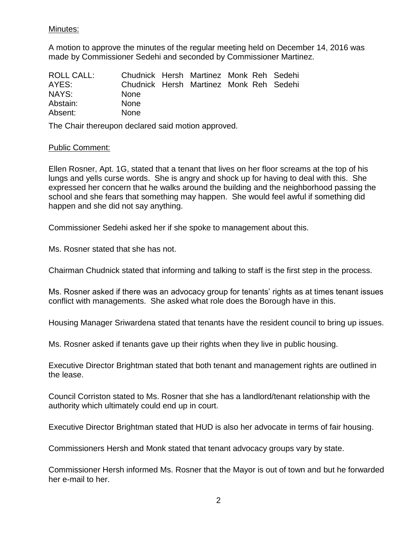#### Minutes:

A motion to approve the minutes of the regular meeting held on December 14, 2016 was made by Commissioner Sedehi and seconded by Commissioner Martinez.

| ROLL CALL: | Chudnick Hersh Martinez Monk Reh Sedehi |  |  |  |
|------------|-----------------------------------------|--|--|--|
| AYES:      | Chudnick Hersh Martinez Monk Reh Sedehi |  |  |  |
| NAYS:      | <b>None</b>                             |  |  |  |
| Abstain:   | <b>None</b>                             |  |  |  |
| Absent:    | <b>None</b>                             |  |  |  |

The Chair thereupon declared said motion approved.

#### Public Comment:

Ellen Rosner, Apt. 1G, stated that a tenant that lives on her floor screams at the top of his lungs and yells curse words. She is angry and shock up for having to deal with this. She expressed her concern that he walks around the building and the neighborhood passing the school and she fears that something may happen. She would feel awful if something did happen and she did not say anything.

Commissioner Sedehi asked her if she spoke to management about this.

Ms. Rosner stated that she has not.

Chairman Chudnick stated that informing and talking to staff is the first step in the process.

Ms. Rosner asked if there was an advocacy group for tenants' rights as at times tenant issues conflict with managements. She asked what role does the Borough have in this.

Housing Manager Sriwardena stated that tenants have the resident council to bring up issues.

Ms. Rosner asked if tenants gave up their rights when they live in public housing.

Executive Director Brightman stated that both tenant and management rights are outlined in the lease.

Council Corriston stated to Ms. Rosner that she has a landlord/tenant relationship with the authority which ultimately could end up in court.

Executive Director Brightman stated that HUD is also her advocate in terms of fair housing.

Commissioners Hersh and Monk stated that tenant advocacy groups vary by state.

Commissioner Hersh informed Ms. Rosner that the Mayor is out of town and but he forwarded her e-mail to her.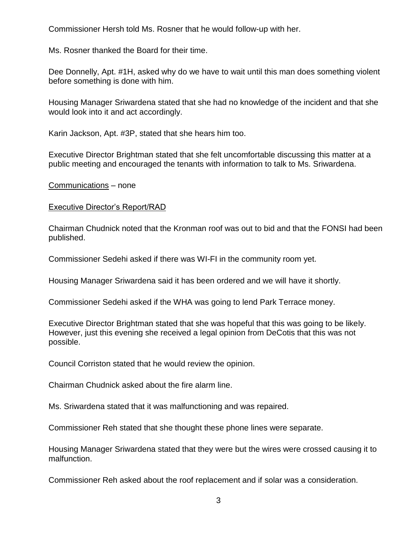Commissioner Hersh told Ms. Rosner that he would follow-up with her.

Ms. Rosner thanked the Board for their time.

Dee Donnelly, Apt. #1H, asked why do we have to wait until this man does something violent before something is done with him.

Housing Manager Sriwardena stated that she had no knowledge of the incident and that she would look into it and act accordingly.

Karin Jackson, Apt. #3P, stated that she hears him too.

Executive Director Brightman stated that she felt uncomfortable discussing this matter at a public meeting and encouraged the tenants with information to talk to Ms. Sriwardena.

Communications – none

## Executive Director's Report/RAD

Chairman Chudnick noted that the Kronman roof was out to bid and that the FONSI had been published.

Commissioner Sedehi asked if there was WI-FI in the community room yet.

Housing Manager Sriwardena said it has been ordered and we will have it shortly.

Commissioner Sedehi asked if the WHA was going to lend Park Terrace money.

Executive Director Brightman stated that she was hopeful that this was going to be likely. However, just this evening she received a legal opinion from DeCotis that this was not possible.

Council Corriston stated that he would review the opinion.

Chairman Chudnick asked about the fire alarm line.

Ms. Sriwardena stated that it was malfunctioning and was repaired.

Commissioner Reh stated that she thought these phone lines were separate.

Housing Manager Sriwardena stated that they were but the wires were crossed causing it to malfunction.

Commissioner Reh asked about the roof replacement and if solar was a consideration.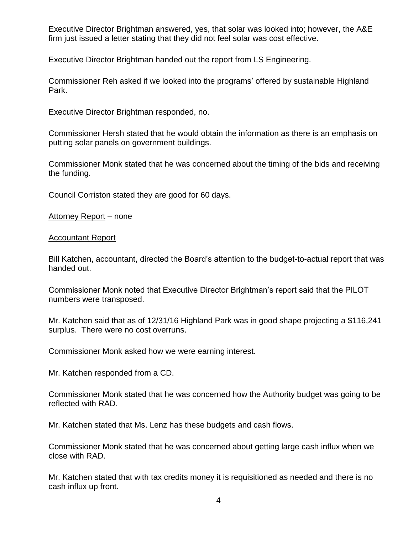Executive Director Brightman answered, yes, that solar was looked into; however, the A&E firm just issued a letter stating that they did not feel solar was cost effective.

Executive Director Brightman handed out the report from LS Engineering.

Commissioner Reh asked if we looked into the programs' offered by sustainable Highland Park.

Executive Director Brightman responded, no.

Commissioner Hersh stated that he would obtain the information as there is an emphasis on putting solar panels on government buildings.

Commissioner Monk stated that he was concerned about the timing of the bids and receiving the funding.

Council Corriston stated they are good for 60 days.

Attorney Report – none

Accountant Report

Bill Katchen, accountant, directed the Board's attention to the budget-to-actual report that was handed out.

Commissioner Monk noted that Executive Director Brightman's report said that the PILOT numbers were transposed.

Mr. Katchen said that as of 12/31/16 Highland Park was in good shape projecting a \$116,241 surplus. There were no cost overruns.

Commissioner Monk asked how we were earning interest.

Mr. Katchen responded from a CD.

Commissioner Monk stated that he was concerned how the Authority budget was going to be reflected with RAD.

Mr. Katchen stated that Ms. Lenz has these budgets and cash flows.

Commissioner Monk stated that he was concerned about getting large cash influx when we close with RAD.

Mr. Katchen stated that with tax credits money it is requisitioned as needed and there is no cash influx up front.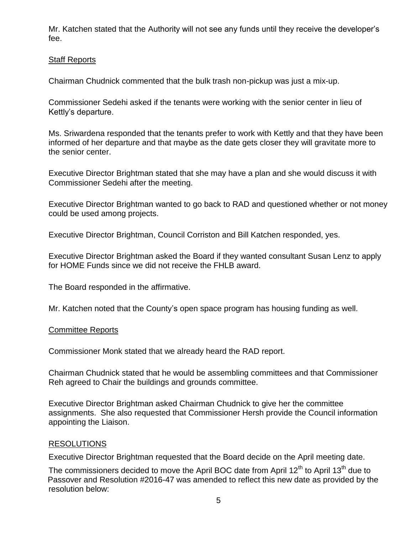Mr. Katchen stated that the Authority will not see any funds until they receive the developer's fee.

## Staff Reports

Chairman Chudnick commented that the bulk trash non-pickup was just a mix-up.

Commissioner Sedehi asked if the tenants were working with the senior center in lieu of Kettly's departure.

Ms. Sriwardena responded that the tenants prefer to work with Kettly and that they have been informed of her departure and that maybe as the date gets closer they will gravitate more to the senior center.

Executive Director Brightman stated that she may have a plan and she would discuss it with Commissioner Sedehi after the meeting.

Executive Director Brightman wanted to go back to RAD and questioned whether or not money could be used among projects.

Executive Director Brightman, Council Corriston and Bill Katchen responded, yes.

Executive Director Brightman asked the Board if they wanted consultant Susan Lenz to apply for HOME Funds since we did not receive the FHLB award.

The Board responded in the affirmative.

Mr. Katchen noted that the County's open space program has housing funding as well.

#### Committee Reports

Commissioner Monk stated that we already heard the RAD report.

Chairman Chudnick stated that he would be assembling committees and that Commissioner Reh agreed to Chair the buildings and grounds committee.

Executive Director Brightman asked Chairman Chudnick to give her the committee assignments. She also requested that Commissioner Hersh provide the Council information appointing the Liaison.

#### RESOLUTIONS

Executive Director Brightman requested that the Board decide on the April meeting date.

The commissioners decided to move the April BOC date from April  $12<sup>th</sup>$  to April  $13<sup>th</sup>$  due to Passover and Resolution #2016-47 was amended to reflect this new date as provided by the resolution below: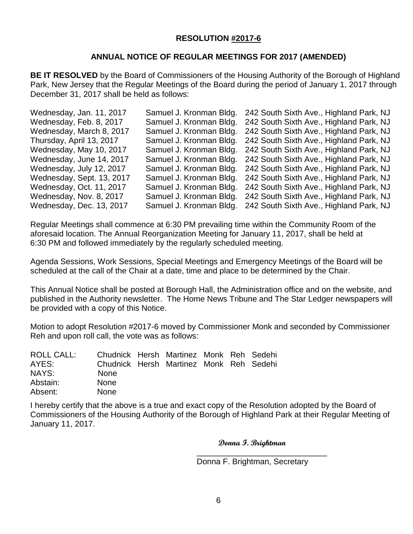### **RESOLUTION #2017-6**

## **ANNUAL NOTICE OF REGULAR MEETINGS FOR 2017 (AMENDED)**

**BE IT RESOLVED** by the Board of Commissioners of the Housing Authority of the Borough of Highland Park, New Jersey that the Regular Meetings of the Board during the period of January 1, 2017 through December 31, 2017 shall be held as follows:

| Wednesday, Jan. 11, 2017  | Samuel J. Kronman Bldg. | 242 South Sixth Ave., Highland Park, NJ |
|---------------------------|-------------------------|-----------------------------------------|
| Wednesday, Feb. 8, 2017   | Samuel J. Kronman Bldg. | 242 South Sixth Ave., Highland Park, NJ |
| Wednesday, March 8, 2017  | Samuel J. Kronman Bldg. | 242 South Sixth Ave., Highland Park, NJ |
| Thursday, April 13, 2017  | Samuel J. Kronman Bldg. | 242 South Sixth Ave., Highland Park, NJ |
| Wednesday, May 10, 2017   | Samuel J. Kronman Bldg. | 242 South Sixth Ave., Highland Park, NJ |
| Wednesday, June 14, 2017  | Samuel J. Kronman Bldg. | 242 South Sixth Ave., Highland Park, NJ |
| Wednesday, July 12, 2017  | Samuel J. Kronman Bldg. | 242 South Sixth Ave., Highland Park, NJ |
| Wednesday, Sept. 13, 2017 | Samuel J. Kronman Bldg. | 242 South Sixth Ave., Highland Park, NJ |
| Wednesday, Oct. 11, 2017  | Samuel J. Kronman Bldg. | 242 South Sixth Ave., Highland Park, NJ |
| Wednesday, Nov. 8, 2017   | Samuel J. Kronman Bldg. | 242 South Sixth Ave., Highland Park, NJ |
| Wednesday, Dec. 13, 2017  | Samuel J. Kronman Bldg. | 242 South Sixth Ave., Highland Park, NJ |

Regular Meetings shall commence at 6:30 PM prevailing time within the Community Room of the aforesaid location. The Annual Reorganization Meeting for January 11, 2017, shall be held at 6:30 PM and followed immediately by the regularly scheduled meeting.

Agenda Sessions, Work Sessions, Special Meetings and Emergency Meetings of the Board will be scheduled at the call of the Chair at a date, time and place to be determined by the Chair.

This Annual Notice shall be posted at Borough Hall, the Administration office and on the website, and published in the Authority newsletter. The Home News Tribune and The Star Ledger newspapers will be provided with a copy of this Notice.

Motion to adopt Resolution #2017-6 moved by Commissioner Monk and seconded by Commissioner Reh and upon roll call, the vote was as follows:

| ROLL CALL: | Chudnick Hersh Martinez Monk Reh Sedehi |  |  |  |
|------------|-----------------------------------------|--|--|--|
| AYES:      | Chudnick Hersh Martinez Monk Reh Sedehi |  |  |  |
| NAYS:      | <b>None</b>                             |  |  |  |
| Abstain:   | <b>None</b>                             |  |  |  |
| Absent:    | <b>None</b>                             |  |  |  |

I hereby certify that the above is a true and exact copy of the Resolution adopted by the Board of Commissioners of the Housing Authority of the Borough of Highland Park at their Regular Meeting of January 11, 2017.

 $\overline{\phantom{a}}$  , and the contract of the contract of the contract of the contract of the contract of the contract of the contract of the contract of the contract of the contract of the contract of the contract of the contrac

**Donna F. Brightman**

Donna F. Brightman, Secretary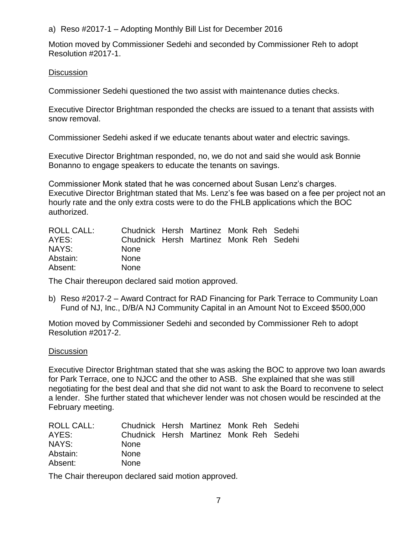a) Reso #2017-1 – Adopting Monthly Bill List for December 2016

Motion moved by Commissioner Sedehi and seconded by Commissioner Reh to adopt Resolution #2017-1.

## **Discussion**

Commissioner Sedehi questioned the two assist with maintenance duties checks.

Executive Director Brightman responded the checks are issued to a tenant that assists with snow removal.

Commissioner Sedehi asked if we educate tenants about water and electric savings.

Executive Director Brightman responded, no, we do not and said she would ask Bonnie Bonanno to engage speakers to educate the tenants on savings.

Commissioner Monk stated that he was concerned about Susan Lenz's charges. Executive Director Brightman stated that Ms. Lenz's fee was based on a fee per project not an hourly rate and the only extra costs were to do the FHLB applications which the BOC authorized.

| ROLL CALL: | Chudnick Hersh Martinez Monk Reh Sedehi |  |  |  |
|------------|-----------------------------------------|--|--|--|
| AYES:      | Chudnick Hersh Martinez Monk Reh Sedehi |  |  |  |
| NAYS:      | <b>None</b>                             |  |  |  |
| Abstain:   | <b>None</b>                             |  |  |  |
| Absent:    | <b>None</b>                             |  |  |  |

The Chair thereupon declared said motion approved.

b) Reso #2017-2 – Award Contract for RAD Financing for Park Terrace to Community Loan Fund of NJ, Inc., D/B/A NJ Community Capital in an Amount Not to Exceed \$500,000

Motion moved by Commissioner Sedehi and seconded by Commissioner Reh to adopt Resolution #2017-2.

#### **Discussion**

Executive Director Brightman stated that she was asking the BOC to approve two loan awards for Park Terrace, one to NJCC and the other to ASB. She explained that she was still negotiating for the best deal and that she did not want to ask the Board to reconvene to select a lender. She further stated that whichever lender was not chosen would be rescinded at the February meeting.

| <b>ROLL CALL:</b> | Chudnick Hersh Martinez Monk Reh Sedehi |  |  |  |
|-------------------|-----------------------------------------|--|--|--|
| AYES:             | Chudnick Hersh Martinez Monk Reh Sedehi |  |  |  |
| NAYS:             | <b>None</b>                             |  |  |  |
| Abstain:          | <b>None</b>                             |  |  |  |
| Absent:           | <b>None</b>                             |  |  |  |

The Chair thereupon declared said motion approved.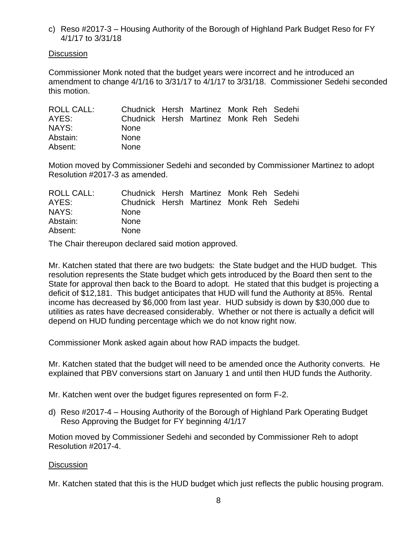c) Reso #2017-3 – Housing Authority of the Borough of Highland Park Budget Reso for FY 4/1/17 to 3/31/18

**Discussion** 

Commissioner Monk noted that the budget years were incorrect and he introduced an amendment to change 4/1/16 to 3/31/17 to 4/1/17 to 3/31/18. Commissioner Sedehi seconded this motion.

| ROLL CALL: | Chudnick Hersh Martinez Monk Reh Sedehi |  |  |  |
|------------|-----------------------------------------|--|--|--|
| AYES:      | Chudnick Hersh Martinez Monk Reh Sedehi |  |  |  |
| NAYS:      | <b>None</b>                             |  |  |  |
| Abstain:   | <b>None</b>                             |  |  |  |
| Absent:    | <b>None</b>                             |  |  |  |

Motion moved by Commissioner Sedehi and seconded by Commissioner Martinez to adopt Resolution #2017-3 as amended.

| ROLL CALL: | Chudnick Hersh Martinez Monk Reh Sedehi |  |  |  |
|------------|-----------------------------------------|--|--|--|
| AYES:      | Chudnick Hersh Martinez Monk Reh Sedehi |  |  |  |
| NAYS:      | <b>None</b>                             |  |  |  |
| Abstain:   | <b>None</b>                             |  |  |  |
| Absent:    | <b>None</b>                             |  |  |  |

The Chair thereupon declared said motion approved.

Mr. Katchen stated that there are two budgets: the State budget and the HUD budget. This resolution represents the State budget which gets introduced by the Board then sent to the State for approval then back to the Board to adopt. He stated that this budget is projecting a deficit of \$12,181. This budget anticipates that HUD will fund the Authority at 85%. Rental income has decreased by \$6,000 from last year. HUD subsidy is down by \$30,000 due to utilities as rates have decreased considerably. Whether or not there is actually a deficit will depend on HUD funding percentage which we do not know right now.

Commissioner Monk asked again about how RAD impacts the budget.

Mr. Katchen stated that the budget will need to be amended once the Authority converts. He explained that PBV conversions start on January 1 and until then HUD funds the Authority.

Mr. Katchen went over the budget figures represented on form F-2.

d) Reso #2017-4 – Housing Authority of the Borough of Highland Park Operating Budget Reso Approving the Budget for FY beginning 4/1/17

Motion moved by Commissioner Sedehi and seconded by Commissioner Reh to adopt Resolution #2017-4.

#### **Discussion**

Mr. Katchen stated that this is the HUD budget which just reflects the public housing program.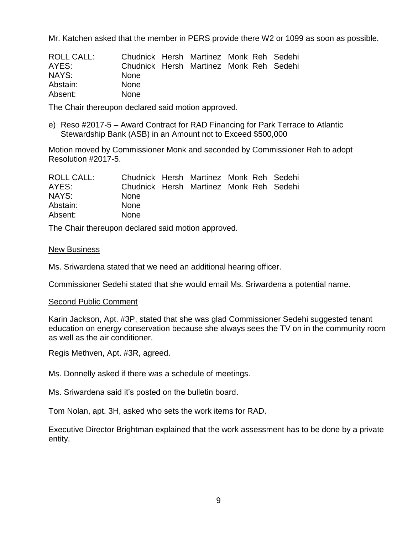Mr. Katchen asked that the member in PERS provide there W2 or 1099 as soon as possible.

| ROLL CALL: | Chudnick Hersh Martinez Monk Reh Sedehi |  |  |  |
|------------|-----------------------------------------|--|--|--|
| AYES:      | Chudnick Hersh Martinez Monk Reh Sedehi |  |  |  |
| NAYS:      | <b>None</b>                             |  |  |  |
| Abstain:   | <b>None</b>                             |  |  |  |
| Absent:    | <b>None</b>                             |  |  |  |

The Chair thereupon declared said motion approved.

e) Reso #2017-5 – Award Contract for RAD Financing for Park Terrace to Atlantic Stewardship Bank (ASB) in an Amount not to Exceed \$500,000

Motion moved by Commissioner Monk and seconded by Commissioner Reh to adopt Resolution #2017-5.

| ROLL CALL: | Chudnick Hersh Martinez Monk Reh Sedehi |  |  |  |
|------------|-----------------------------------------|--|--|--|
| AYES:      | Chudnick Hersh Martinez Monk Reh Sedehi |  |  |  |
| NAYS:      | <b>None</b>                             |  |  |  |
| Abstain:   | <b>None</b>                             |  |  |  |
| Absent:    | <b>None</b>                             |  |  |  |

The Chair thereupon declared said motion approved.

#### New Business

Ms. Sriwardena stated that we need an additional hearing officer.

Commissioner Sedehi stated that she would email Ms. Sriwardena a potential name.

#### Second Public Comment

Karin Jackson, Apt. #3P, stated that she was glad Commissioner Sedehi suggested tenant education on energy conservation because she always sees the TV on in the community room as well as the air conditioner.

Regis Methven, Apt. #3R, agreed.

Ms. Donnelly asked if there was a schedule of meetings.

Ms. Sriwardena said it's posted on the bulletin board.

Tom Nolan, apt. 3H, asked who sets the work items for RAD.

Executive Director Brightman explained that the work assessment has to be done by a private entity.